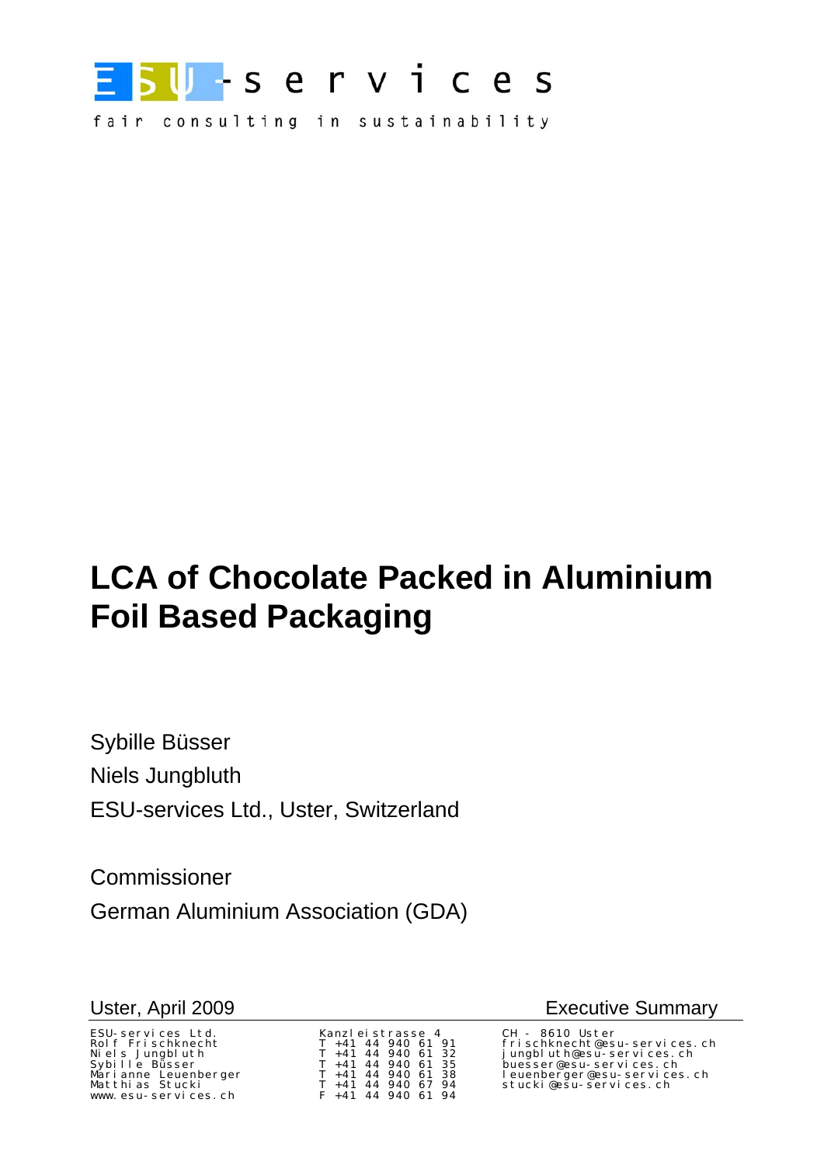

fair consulting in sustainability

# **LCA of Chocolate Packed in Aluminium Foil Based Packaging**

Sybille Büsser Niels Jungbluth ESU-services Ltd., Uster, Switzerland

Commissioner German Aluminium Association (GDA)

ESU-services Ltd. Kanzleistrasse 4 CH - 8610 Uster www.esu-services.ch

| Kanzleistrasse 4 |       |  |                    |  |    |  |  |
|------------------|-------|--|--------------------|--|----|--|--|
|                  | T +41 |  | 44 940 61          |  | 91 |  |  |
|                  |       |  | $T + 41$ 44 940 61 |  | 32 |  |  |
| T.               | $+41$ |  | 44 940 61          |  | 35 |  |  |
| т                | $+41$ |  | 44 940 61          |  | 38 |  |  |
| т                | $+41$ |  | 44 940 67          |  | 94 |  |  |
| F.               | $+41$ |  | 44 940 61          |  | 94 |  |  |

Uster, April 2009 **Executive Summary** 

frischknecht@esu-services.ch Niels Jungbluth T +41 44 940 61 32 jungbluth@esu-services.ch Sybille Büsser T +41 44 940 61 35 buesser@esu-services.ch Marianne Leuenberger T +41 44 940 61 38 leuenberger@esu-services.ch Matthias Stucki T +41 44 940 67 94 stucki@esu-services.ch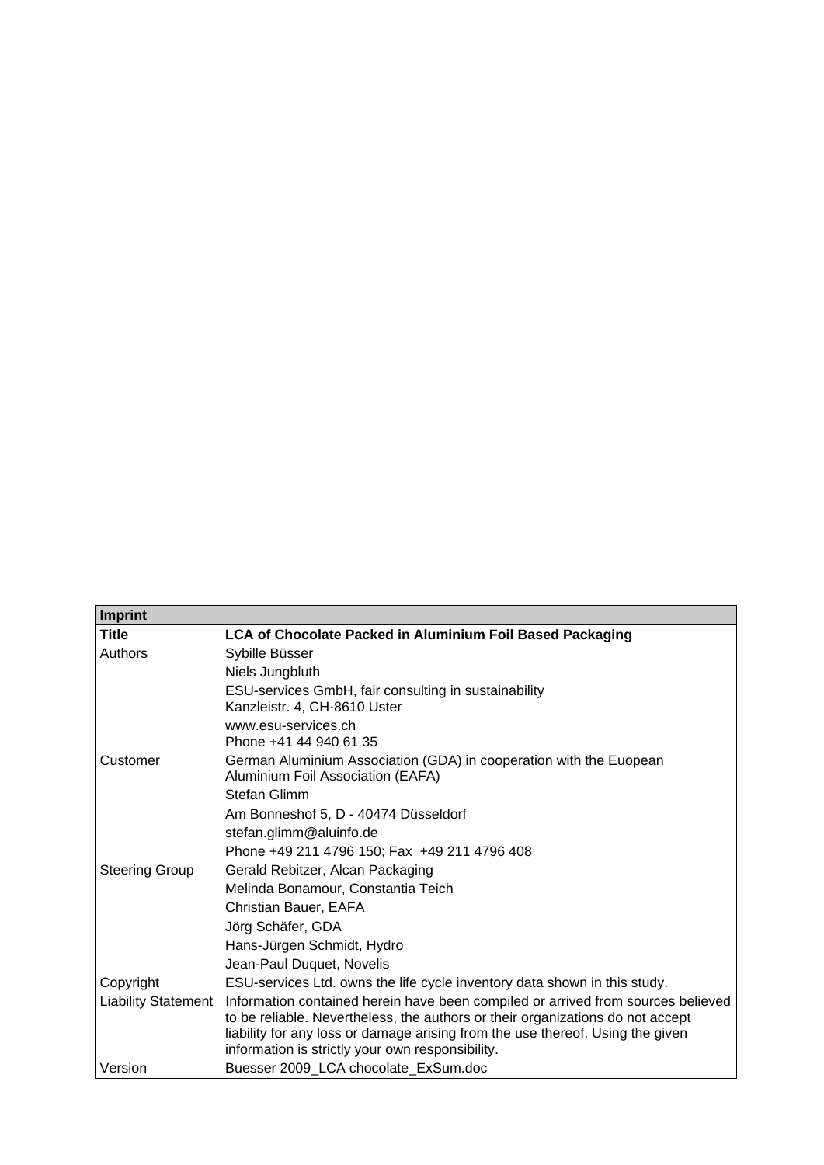| <b>Imprint</b>             |                                                                                                                                                                                                                                                                                                          |  |  |  |
|----------------------------|----------------------------------------------------------------------------------------------------------------------------------------------------------------------------------------------------------------------------------------------------------------------------------------------------------|--|--|--|
| <b>Title</b>               | LCA of Chocolate Packed in Aluminium Foil Based Packaging                                                                                                                                                                                                                                                |  |  |  |
| Authors                    | Sybille Büsser                                                                                                                                                                                                                                                                                           |  |  |  |
|                            | Niels Jungbluth                                                                                                                                                                                                                                                                                          |  |  |  |
|                            | ESU-services GmbH, fair consulting in sustainability<br>Kanzleistr. 4, CH-8610 Uster                                                                                                                                                                                                                     |  |  |  |
|                            | www.esu-services.ch<br>Phone +41 44 940 61 35                                                                                                                                                                                                                                                            |  |  |  |
| Customer                   | German Aluminium Association (GDA) in cooperation with the Euopean<br>Aluminium Foil Association (EAFA)                                                                                                                                                                                                  |  |  |  |
|                            | Stefan Glimm                                                                                                                                                                                                                                                                                             |  |  |  |
|                            | Am Bonneshof 5, D - 40474 Düsseldorf                                                                                                                                                                                                                                                                     |  |  |  |
|                            | stefan.glimm@aluinfo.de                                                                                                                                                                                                                                                                                  |  |  |  |
|                            | Phone +49 211 4796 150; Fax +49 211 4796 408                                                                                                                                                                                                                                                             |  |  |  |
| <b>Steering Group</b>      | Gerald Rebitzer, Alcan Packaging                                                                                                                                                                                                                                                                         |  |  |  |
|                            | Melinda Bonamour, Constantia Teich                                                                                                                                                                                                                                                                       |  |  |  |
|                            | Christian Bauer, EAFA                                                                                                                                                                                                                                                                                    |  |  |  |
|                            | Jörg Schäfer, GDA                                                                                                                                                                                                                                                                                        |  |  |  |
|                            | Hans-Jürgen Schmidt, Hydro                                                                                                                                                                                                                                                                               |  |  |  |
|                            | Jean-Paul Duquet, Novelis                                                                                                                                                                                                                                                                                |  |  |  |
| Copyright                  | ESU-services Ltd. owns the life cycle inventory data shown in this study.                                                                                                                                                                                                                                |  |  |  |
| <b>Liability Statement</b> | Information contained herein have been compiled or arrived from sources believed<br>to be reliable. Nevertheless, the authors or their organizations do not accept<br>liability for any loss or damage arising from the use thereof. Using the given<br>information is strictly your own responsibility. |  |  |  |
| Version                    | Buesser 2009_LCA chocolate_ExSum.doc                                                                                                                                                                                                                                                                     |  |  |  |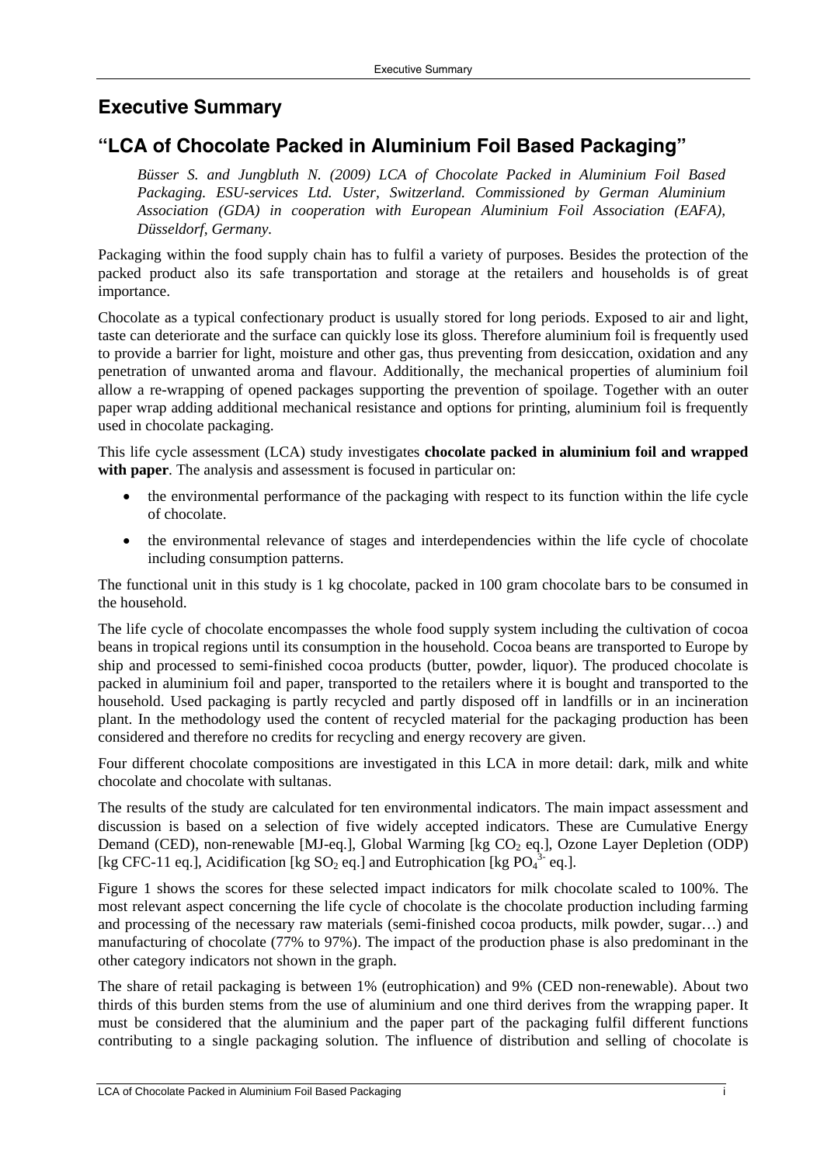## **Executive Summary**

## **"LCA of Chocolate Packed in Aluminium Foil Based Packaging"**

*Büsser S. and Jungbluth N. (2009) LCA of Chocolate Packed in Aluminium Foil Based Packaging. ESU-services Ltd. Uster, Switzerland. Commissioned by German Aluminium Association (GDA) in cooperation with European Aluminium Foil Association (EAFA), Düsseldorf, Germany.* 

Packaging within the food supply chain has to fulfil a variety of purposes. Besides the protection of the packed product also its safe transportation and storage at the retailers and households is of great importance.

Chocolate as a typical confectionary product is usually stored for long periods. Exposed to air and light, taste can deteriorate and the surface can quickly lose its gloss. Therefore aluminium foil is frequently used to provide a barrier for light, moisture and other gas, thus preventing from desiccation, oxidation and any penetration of unwanted aroma and flavour. Additionally, the mechanical properties of aluminium foil allow a re-wrapping of opened packages supporting the prevention of spoilage. Together with an outer paper wrap adding additional mechanical resistance and options for printing, aluminium foil is frequently used in chocolate packaging.

This life cycle assessment (LCA) study investigates **chocolate packed in aluminium foil and wrapped**  with **paper**. The analysis and assessment is focused in particular on:

- the environmental performance of the packaging with respect to its function within the life cycle of chocolate.
- the environmental relevance of stages and interdependencies within the life cycle of chocolate including consumption patterns.

The functional unit in this study is 1 kg chocolate, packed in 100 gram chocolate bars to be consumed in the household.

The life cycle of chocolate encompasses the whole food supply system including the cultivation of cocoa beans in tropical regions until its consumption in the household. Cocoa beans are transported to Europe by ship and processed to semi-finished cocoa products (butter, powder, liquor). The produced chocolate is packed in aluminium foil and paper, transported to the retailers where it is bought and transported to the household. Used packaging is partly recycled and partly disposed off in landfills or in an incineration plant. In the methodology used the content of recycled material for the packaging production has been considered and therefore no credits for recycling and energy recovery are given.

Four different chocolate compositions are investigated in this LCA in more detail: dark, milk and white chocolate and chocolate with sultanas.

The results of the study are calculated for ten environmental indicators. The main impact assessment and discussion is based on a selection of five widely accepted indicators. These are Cumulative Energy Demand (CED), non-renewable [MJ-eq.], Global Warming [kg  $CO<sub>2</sub>$  eq.], Ozone Layer Depletion (ODP) [kg CFC-11 eq.], Acidification [kg  $SO_2$  eq.] and Eutrophication [kg  $PO_4^{3}$  eq.].

Figure 1 shows the scores for these selected impact indicators for milk chocolate scaled to 100%. The most relevant aspect concerning the life cycle of chocolate is the chocolate production including farming and processing of the necessary raw materials (semi-finished cocoa products, milk powder, sugar…) and manufacturing of chocolate (77% to 97%). The impact of the production phase is also predominant in the other category indicators not shown in the graph.

The share of retail packaging is between 1% (eutrophication) and 9% (CED non-renewable). About two thirds of this burden stems from the use of aluminium and one third derives from the wrapping paper. It must be considered that the aluminium and the paper part of the packaging fulfil different functions contributing to a single packaging solution. The influence of distribution and selling of chocolate is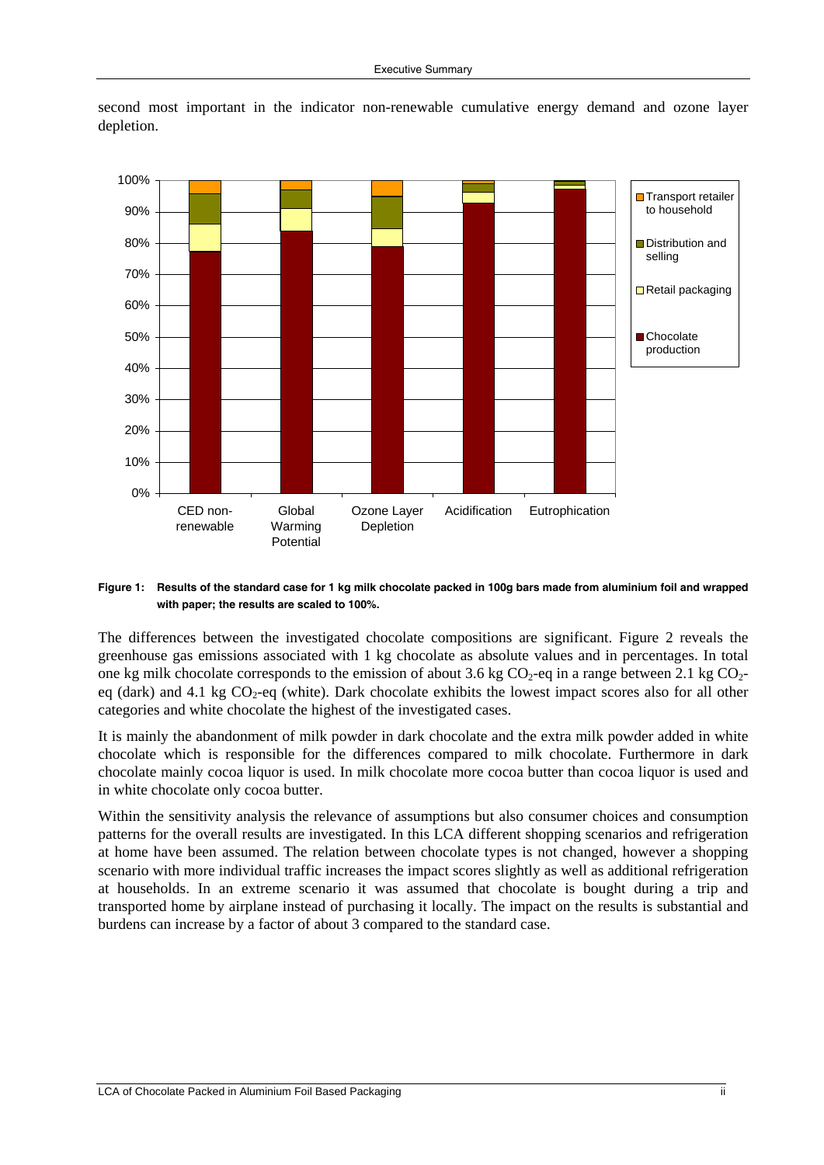

second most important in the indicator non-renewable cumulative energy demand and ozone layer depletion.

#### **Figure 1: Results of the standard case for 1 kg milk chocolate packed in 100g bars made from aluminium foil and wrapped with paper; the results are scaled to 100%.**

The differences between the investigated chocolate compositions are significant. Figure 2 reveals the greenhouse gas emissions associated with 1 kg chocolate as absolute values and in percentages. In total one kg milk chocolate corresponds to the emission of about 3.6 kg  $CO_2$ -eq in a range between 2.1 kg  $CO_2$ eq (dark) and 4.1 kg  $CO<sub>2</sub>$ -eq (white). Dark chocolate exhibits the lowest impact scores also for all other categories and white chocolate the highest of the investigated cases.

It is mainly the abandonment of milk powder in dark chocolate and the extra milk powder added in white chocolate which is responsible for the differences compared to milk chocolate. Furthermore in dark chocolate mainly cocoa liquor is used. In milk chocolate more cocoa butter than cocoa liquor is used and in white chocolate only cocoa butter.

Within the sensitivity analysis the relevance of assumptions but also consumer choices and consumption patterns for the overall results are investigated. In this LCA different shopping scenarios and refrigeration at home have been assumed. The relation between chocolate types is not changed, however a shopping scenario with more individual traffic increases the impact scores slightly as well as additional refrigeration at households. In an extreme scenario it was assumed that chocolate is bought during a trip and transported home by airplane instead of purchasing it locally. The impact on the results is substantial and burdens can increase by a factor of about 3 compared to the standard case.